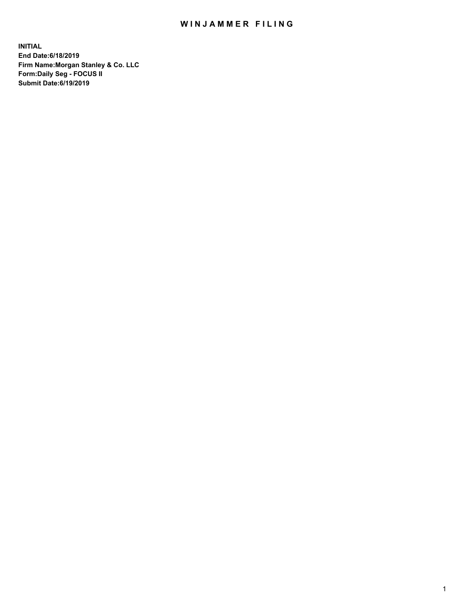## WIN JAMMER FILING

**INITIAL End Date:6/18/2019 Firm Name:Morgan Stanley & Co. LLC Form:Daily Seg - FOCUS II Submit Date:6/19/2019**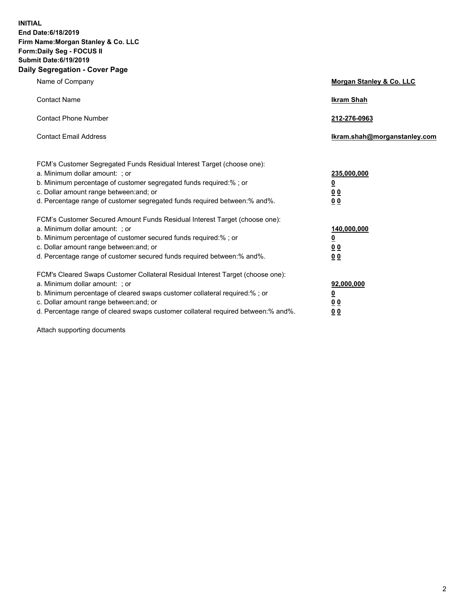**INITIAL End Date:6/18/2019 Firm Name:Morgan Stanley & Co. LLC Form:Daily Seg - FOCUS II Submit Date:6/19/2019 Daily Segregation - Cover Page**

| Name of Company                                                                   | Morgan Stanley & Co. LLC     |  |
|-----------------------------------------------------------------------------------|------------------------------|--|
| <b>Contact Name</b>                                                               | <b>Ikram Shah</b>            |  |
| <b>Contact Phone Number</b>                                                       | 212-276-0963                 |  |
| <b>Contact Email Address</b>                                                      | Ikram.shah@morganstanley.com |  |
| FCM's Customer Segregated Funds Residual Interest Target (choose one):            |                              |  |
| a. Minimum dollar amount: ; or                                                    | 235,000,000                  |  |
| b. Minimum percentage of customer segregated funds required:% ; or                | <u>0</u>                     |  |
| c. Dollar amount range between: and; or                                           | <u>0 0</u>                   |  |
| d. Percentage range of customer segregated funds required between: % and %.       | 00                           |  |
| FCM's Customer Secured Amount Funds Residual Interest Target (choose one):        |                              |  |
| a. Minimum dollar amount: ; or                                                    | 140,000,000                  |  |
| b. Minimum percentage of customer secured funds required:%; or                    | <u>0</u>                     |  |
| c. Dollar amount range between: and; or                                           | 0 <sub>0</sub>               |  |
| d. Percentage range of customer secured funds required between:% and%.            | 0 <sub>0</sub>               |  |
| FCM's Cleared Swaps Customer Collateral Residual Interest Target (choose one):    |                              |  |
| a. Minimum dollar amount: ; or                                                    | 92,000,000                   |  |
| b. Minimum percentage of cleared swaps customer collateral required:% ; or        | <u>0</u>                     |  |
| c. Dollar amount range between: and; or                                           | 0 Q                          |  |
| d. Percentage range of cleared swaps customer collateral required between:% and%. | 00                           |  |

Attach supporting documents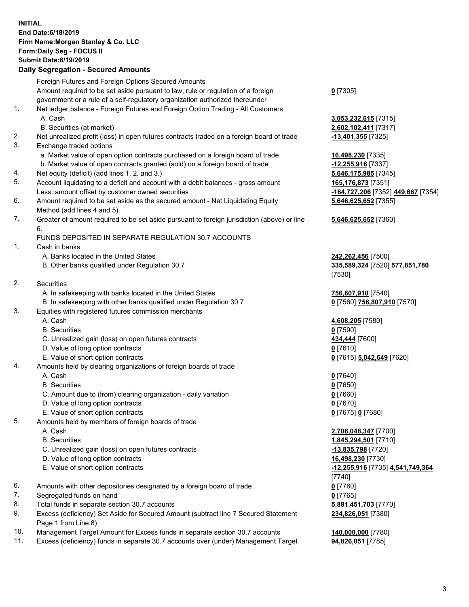## **INITIAL End Date:6/18/2019 Firm Name:Morgan Stanley & Co. LLC Form:Daily Seg - FOCUS II Submit Date:6/19/2019 Daily Segregation - Secured Amounts**

|    | Foreign Futures and Foreign Options Secured Amounts                                                                             |                                     |
|----|---------------------------------------------------------------------------------------------------------------------------------|-------------------------------------|
|    | Amount required to be set aside pursuant to law, rule or regulation of a foreign                                                | $0$ [7305]                          |
|    | government or a rule of a self-regulatory organization authorized thereunder                                                    |                                     |
| 1. | Net ledger balance - Foreign Futures and Foreign Option Trading - All Customers                                                 |                                     |
|    | A. Cash                                                                                                                         | 3,053,232,615 [7315]                |
|    | B. Securities (at market)                                                                                                       | 2,602,102,411 [7317]                |
| 2. | Net unrealized profit (loss) in open futures contracts traded on a foreign board of trade                                       | <u>-13,401,355</u> [7325]           |
| 3. | Exchange traded options                                                                                                         |                                     |
|    | a. Market value of open option contracts purchased on a foreign board of trade                                                  | 16,498,230 [7335]                   |
|    | b. Market value of open contracts granted (sold) on a foreign board of trade                                                    | -12,255,916 [7337]                  |
| 4. | Net equity (deficit) (add lines 1.2. and 3.)                                                                                    | 5,646,175,985 [7345]                |
| 5. | Account liquidating to a deficit and account with a debit balances - gross amount                                               | 165,176,873 [7351]                  |
|    | Less: amount offset by customer owned securities                                                                                | <u>-164,727,206</u> [7352] <u>4</u> |
| 6. | Amount required to be set aside as the secured amount - Net Liquidating Equity                                                  | 5,646,625,652 [7355]                |
|    | Method (add lines 4 and 5)                                                                                                      |                                     |
| 7. | Greater of amount required to be set aside pursuant to foreign jurisdiction (above) or line                                     | 5,646,625,652 [7360]                |
|    | 6.                                                                                                                              |                                     |
|    | FUNDS DEPOSITED IN SEPARATE REGULATION 30.7 ACCOUNTS                                                                            |                                     |
| 1. | Cash in banks                                                                                                                   |                                     |
|    | A. Banks located in the United States                                                                                           | 242,262,456 [7500]                  |
|    | B. Other banks qualified under Regulation 30.7                                                                                  | 335,589,324 [7520] 5                |
| 2. |                                                                                                                                 | [7530]                              |
|    | Securities                                                                                                                      |                                     |
|    | A. In safekeeping with banks located in the United States<br>B. In safekeeping with other banks qualified under Regulation 30.7 | 756,807,910 [7540]                  |
| 3. | Equities with registered futures commission merchants                                                                           | 0 [7560] 756,807,910                |
|    | A. Cash                                                                                                                         | 4,608,205 [7580]                    |
|    | <b>B.</b> Securities                                                                                                            | $0$ [7590]                          |
|    | C. Unrealized gain (loss) on open futures contracts                                                                             | 434,444 [7600]                      |
|    | D. Value of long option contracts                                                                                               | $0$ [7610]                          |
|    | E. Value of short option contracts                                                                                              | 0 [7615] 5,042,649 [7               |
| 4. | Amounts held by clearing organizations of foreign boards of trade                                                               |                                     |
|    | A. Cash                                                                                                                         | $0$ [7640]                          |
|    | <b>B.</b> Securities                                                                                                            | $0$ [7650]                          |
|    | C. Amount due to (from) clearing organization - daily variation                                                                 | $0$ [7660]                          |
|    | D. Value of long option contracts                                                                                               | $0$ [7670]                          |
|    | E. Value of short option contracts                                                                                              | 0 [7675] 0 [7680]                   |
| 5. | Amounts held by members of foreign boards of trade                                                                              |                                     |
|    | A. Cash                                                                                                                         | 2,706,048,347 [7700]                |
|    | <b>B.</b> Securities                                                                                                            | 1,845,294,501 [7710]                |
|    | C. Unrealized gain (loss) on open futures contracts                                                                             | -13,835,798 [7720]                  |
|    | D. Value of long option contracts                                                                                               | 16,498,230 [7730]                   |
|    | E. Value of short option contracts                                                                                              | -12,255,916 [7735] 4,               |
|    |                                                                                                                                 | [7740]                              |
| 6. | Amounts with other depositories designated by a foreign board of trade                                                          | $0$ [7760]                          |
| 7. | Segregated funds on hand                                                                                                        | $0$ [7765]                          |
| 8. | Total funds in separate section 30.7 accounts                                                                                   | 5,881,451,703 [7770]                |
| 9. | Excess (deficiency) Set Aside for Secured Amount (subtract line 7 Secured Statement                                             | 234,826,051 [7380]                  |
|    | Page 1 from Line 8)                                                                                                             |                                     |
|    |                                                                                                                                 |                                     |

- 10. Management Target Amount for Excess funds in separate section 30.7 accounts **140,000,000** [7780]
- 11. Excess (deficiency) funds in separate 30.7 accounts over (under) Management Target **94,826,051** [7785]

**2,615** [7315] **2,411** [7317]

Less: amount offset by customer owned securities **-164,727,206** [7352] **449,667** [7354] **5,652** [7355]

## **5,652** [7360]

B. Other banks qualified under Regulation 30.7 **335,589,324** [7520] **577,851,780**

 $B[756, 807, 910]$  [7570]

E. Value of short option contracts **0** [7615] **5,042,649** [7620]

**8,347** [7700] 8.501 [7710] E. Value of short option contracts **-12,255,916** [7735] **4,541,749,364 051** [7380]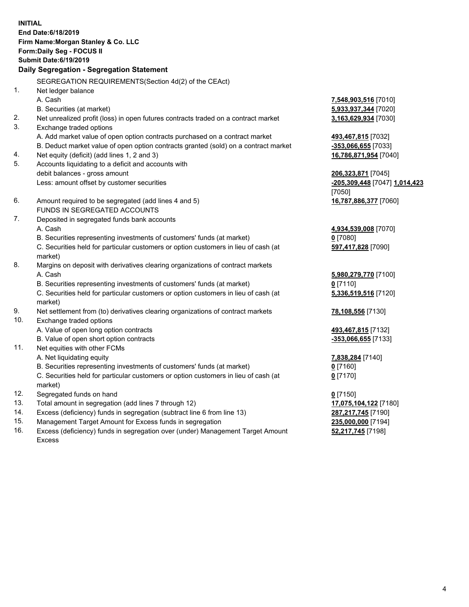**INITIAL End Date:6/18/2019 Firm Name:Morgan Stanley & Co. LLC Form:Daily Seg - FOCUS II Submit Date:6/19/2019 Daily Segregation - Segregation Statement** SEGREGATION REQUIREMENTS(Section 4d(2) of the CEAct) 1. Net ledger balance A. Cash **7,548,903,516** [7010] B. Securities (at market) **5,933,937,344** [7020] 2. Net unrealized profit (loss) in open futures contracts traded on a contract market **3,163,629,934** [7030] 3. Exchange traded options A. Add market value of open option contracts purchased on a contract market **493,467,815** [7032] B. Deduct market value of open option contracts granted (sold) on a contract market **-353,066,655** [7033] 4. Net equity (deficit) (add lines 1, 2 and 3) **16,786,871,954** [7040] 5. Accounts liquidating to a deficit and accounts with debit balances - gross amount **206,323,871** [7045] Less: amount offset by customer securities **-205,309,448** [7047] **1,014,423** [7050] 6. Amount required to be segregated (add lines 4 and 5) **16,787,886,377** [7060] FUNDS IN SEGREGATED ACCOUNTS 7. Deposited in segregated funds bank accounts A. Cash **4,934,539,008** [7070] B. Securities representing investments of customers' funds (at market) **0** [7080] C. Securities held for particular customers or option customers in lieu of cash (at market) **597,417,828** [7090] 8. Margins on deposit with derivatives clearing organizations of contract markets A. Cash **5,980,279,770** [7100] B. Securities representing investments of customers' funds (at market) **0** [7110] C. Securities held for particular customers or option customers in lieu of cash (at market) **5,336,519,516** [7120] 9. Net settlement from (to) derivatives clearing organizations of contract markets **78,108,556** [7130] 10. Exchange traded options A. Value of open long option contracts **493,467,815** [7132] B. Value of open short option contracts **-353,066,655** [7133] 11. Net equities with other FCMs A. Net liquidating equity **7,838,284** [7140] B. Securities representing investments of customers' funds (at market) **0** [7160] C. Securities held for particular customers or option customers in lieu of cash (at market) **0** [7170] 12. Segregated funds on hand **0** [7150] 13. Total amount in segregation (add lines 7 through 12) **17,075,104,122** [7180] 14. Excess (deficiency) funds in segregation (subtract line 6 from line 13) **287,217,745** [7190]

- 15. Management Target Amount for Excess funds in segregation **235,000,000** [7194]
- 16. Excess (deficiency) funds in segregation over (under) Management Target Amount Excess

**52,217,745** [7198]